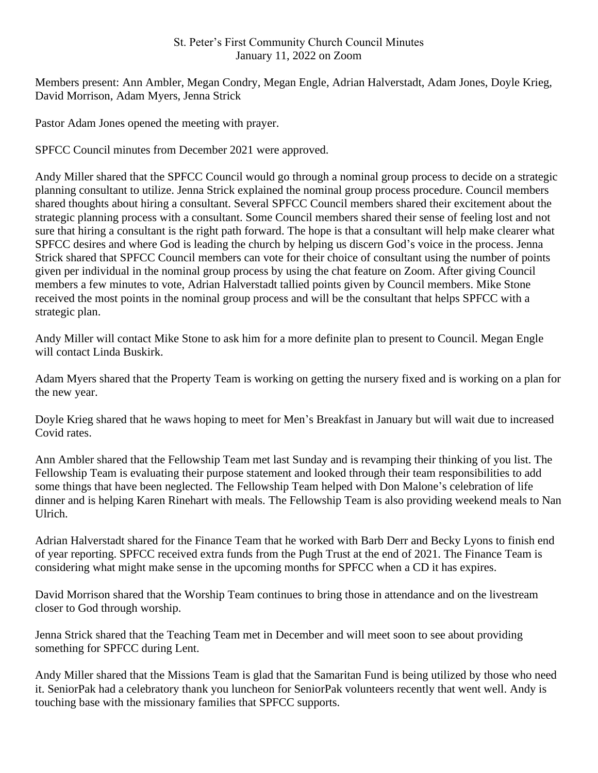## St. Peter's First Community Church Council Minutes January 11, 2022 on Zoom

Members present: Ann Ambler, Megan Condry, Megan Engle, Adrian Halverstadt, Adam Jones, Doyle Krieg, David Morrison, Adam Myers, Jenna Strick

Pastor Adam Jones opened the meeting with prayer.

SPFCC Council minutes from December 2021 were approved.

Andy Miller shared that the SPFCC Council would go through a nominal group process to decide on a strategic planning consultant to utilize. Jenna Strick explained the nominal group process procedure. Council members shared thoughts about hiring a consultant. Several SPFCC Council members shared their excitement about the strategic planning process with a consultant. Some Council members shared their sense of feeling lost and not sure that hiring a consultant is the right path forward. The hope is that a consultant will help make clearer what SPFCC desires and where God is leading the church by helping us discern God's voice in the process. Jenna Strick shared that SPFCC Council members can vote for their choice of consultant using the number of points given per individual in the nominal group process by using the chat feature on Zoom. After giving Council members a few minutes to vote, Adrian Halverstadt tallied points given by Council members. Mike Stone received the most points in the nominal group process and will be the consultant that helps SPFCC with a strategic plan.

Andy Miller will contact Mike Stone to ask him for a more definite plan to present to Council. Megan Engle will contact Linda Buskirk.

Adam Myers shared that the Property Team is working on getting the nursery fixed and is working on a plan for the new year.

Doyle Krieg shared that he waws hoping to meet for Men's Breakfast in January but will wait due to increased Covid rates.

Ann Ambler shared that the Fellowship Team met last Sunday and is revamping their thinking of you list. The Fellowship Team is evaluating their purpose statement and looked through their team responsibilities to add some things that have been neglected. The Fellowship Team helped with Don Malone's celebration of life dinner and is helping Karen Rinehart with meals. The Fellowship Team is also providing weekend meals to Nan Ulrich.

Adrian Halverstadt shared for the Finance Team that he worked with Barb Derr and Becky Lyons to finish end of year reporting. SPFCC received extra funds from the Pugh Trust at the end of 2021. The Finance Team is considering what might make sense in the upcoming months for SPFCC when a CD it has expires.

David Morrison shared that the Worship Team continues to bring those in attendance and on the livestream closer to God through worship.

Jenna Strick shared that the Teaching Team met in December and will meet soon to see about providing something for SPFCC during Lent.

Andy Miller shared that the Missions Team is glad that the Samaritan Fund is being utilized by those who need it. SeniorPak had a celebratory thank you luncheon for SeniorPak volunteers recently that went well. Andy is touching base with the missionary families that SPFCC supports.